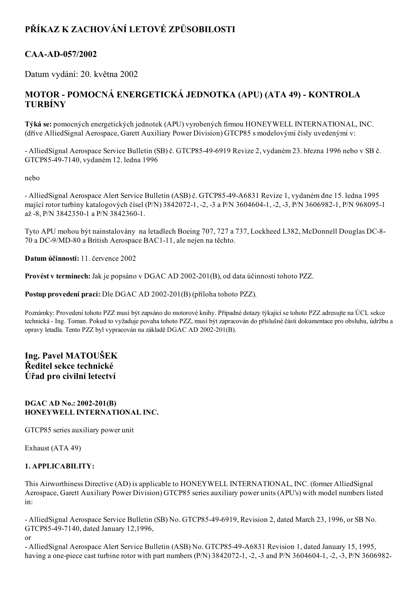# PŘÍKAZ K ZACHOVÁNÍ LETOVÉ ZPŮSOBILOSTI

# CAA-AD-057/2002

Datum vydání: 20. května 2002

# MOTOR - POMOCNÁ ENERGETICKÁ JEDNOTKA (APU) (ATA 49) - KONTROLA TURBÍNY

Týká se: pomocných energetických jednotek (APU) vyrobených firmou HONEYWELL INTERNATIONAL, INC. (dříve AlliedSignal Aerospace, Garett Auxiliary Power Division) GTCP85 s modelovými čísly uvedenými v:

 AlliedSignal Aerospace Service Bulletin (SB) č. GTCP85496919 Revize 2, vydaném 23. března 1996 nebo v SB č. GTCP85497140, vydaném 12. ledna 1996

nebo

 AlliedSignal Aerospace Alert Service Bulletin (ASB) č. GTCP8549A6831 Revize 1, vydaném dne 15. ledna 1995 mající rotor turbíny katalogových čísel (P/N) 3842072-1, -2, -3 a P/N 3604604-1, -2, -3, P/N 3606982-1, P/N 968095-1 až -8, P/N 3842350-1 a P/N 3842360-1.

Tyto APU mohou být nainstalovány na letadlech Boeing 707, 727 a 737, Lockheed L382, McDonnell Douglas DC-8-70 a DC-9/MD-80 a British Aerospace BAC1-11, ale nejen na těchto.

Datum účinnosti: 11. července 2002

Provést v termínech: Jak je popsáno v DGAC AD 2002-201(B), od data účinnosti tohoto PZZ.

Postup provedení prací: Dle DGAC AD 2002-201(B) (příloha tohoto PZZ).

Poznámky: Provedení tohoto PZZ musí být zapsáno do motorové knihy. Případné dotazy týkající se tohoto PZZ adresujte na ÚCL sekce technická Ing. Toman. Pokud to vyžaduje povaha tohoto PZZ, musí být zapracován do příslušné části dokumentace pro obsluhu, údržbu a opravy letadla. Tento PZZ byl vypracován na základě DGAC AD 2002-201(B).

# Ing. Pavel MATOUŠEK Ředitel sekce technické Úřad pro civilní letectví

#### DGAC AD No.: 2002-201(B) HONEYWELL INTERNATIONAL INC.

GTCP85 series auxiliary power unit

Exhaust (ATA 49)

## 1. APPLICABILITY:

This Airworthiness Directive (AD) is applicable to HONEYWELL INTERNATIONAL, INC. (former AlliedSignal Aerospace, Garett Auxiliary Power Division) GTCP85 series auxiliary power units (APU's) with model numbers listed in:

- AlliedSignal Aerospace Service Bulletin (SB) No. GTCP85-49-6919, Revision 2, dated March 23, 1996, or SB No. GTCP85497140, dated January 12,1996,

or

- AlliedSignal Aerospace Alert Service Bulletin (ASB) No. GTCP85-49-A6831 Revision 1, dated January 15, 1995, having a one-piece cast turbine rotor with part numbers  $(P/N)$  3842072-1, -2, -3 and P/N 3604604-1, -2, -3, P/N 3606982